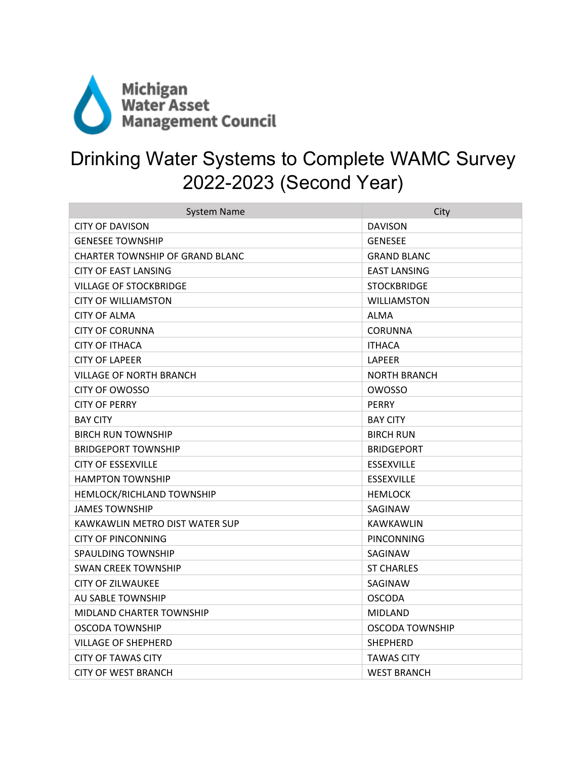

## Drinking Water Systems to Complete WAMC Survey 2022-2023 (Second Year)

| <b>System Name</b>               | City                |
|----------------------------------|---------------------|
| <b>CITY OF DAVISON</b>           | <b>DAVISON</b>      |
| <b>GENESEE TOWNSHIP</b>          | <b>GENESEE</b>      |
| CHARTER TOWNSHIP OF GRAND BLANC  | <b>GRAND BLANC</b>  |
| CITY OF EAST LANSING             | <b>EAST LANSING</b> |
| <b>VILLAGE OF STOCKBRIDGE</b>    | <b>STOCKBRIDGE</b>  |
| <b>CITY OF WILLIAMSTON</b>       | <b>WILLIAMSTON</b>  |
| <b>CITY OF ALMA</b>              | <b>ALMA</b>         |
| <b>CITY OF CORUNNA</b>           | <b>CORUNNA</b>      |
| CITY OF ITHACA                   | <b>ITHACA</b>       |
| <b>CITY OF LAPEER</b>            | <b>LAPEER</b>       |
| VILLAGE OF NORTH BRANCH          | <b>NORTH BRANCH</b> |
| CITY OF OWOSSO                   | OWOSSO              |
| <b>CITY OF PERRY</b>             | <b>PERRY</b>        |
| <b>BAY CITY</b>                  | <b>BAY CITY</b>     |
| <b>BIRCH RUN TOWNSHIP</b>        | <b>BIRCH RUN</b>    |
| <b>BRIDGEPORT TOWNSHIP</b>       | <b>BRIDGEPORT</b>   |
| <b>CITY OF ESSEXVILLE</b>        | <b>ESSEXVILLE</b>   |
| <b>HAMPTON TOWNSHIP</b>          | <b>ESSEXVILLE</b>   |
| <b>HEMLOCK/RICHLAND TOWNSHIP</b> | <b>HEMLOCK</b>      |
| JAMES TOWNSHIP                   | SAGINAW             |
| KAWKAWLIN METRO DIST WATER SUP   | <b>KAWKAWLIN</b>    |
| <b>CITY OF PINCONNING</b>        | PINCONNING          |
| SPAULDING TOWNSHIP               | SAGINAW             |
| <b>SWAN CREEK TOWNSHIP</b>       | <b>ST CHARLES</b>   |
| <b>CITY OF ZILWAUKEE</b>         | SAGINAW             |
| AU SABLE TOWNSHIP                | <b>OSCODA</b>       |
| MIDLAND CHARTER TOWNSHIP         | <b>MIDLAND</b>      |
| OSCODA TOWNSHIP                  | OSCODA TOWNSHIP     |
| VILLAGE OF SHEPHERD              | <b>SHEPHERD</b>     |
| <b>CITY OF TAWAS CITY</b>        | <b>TAWAS CITY</b>   |
| CITY OF WEST BRANCH              | <b>WEST BRANCH</b>  |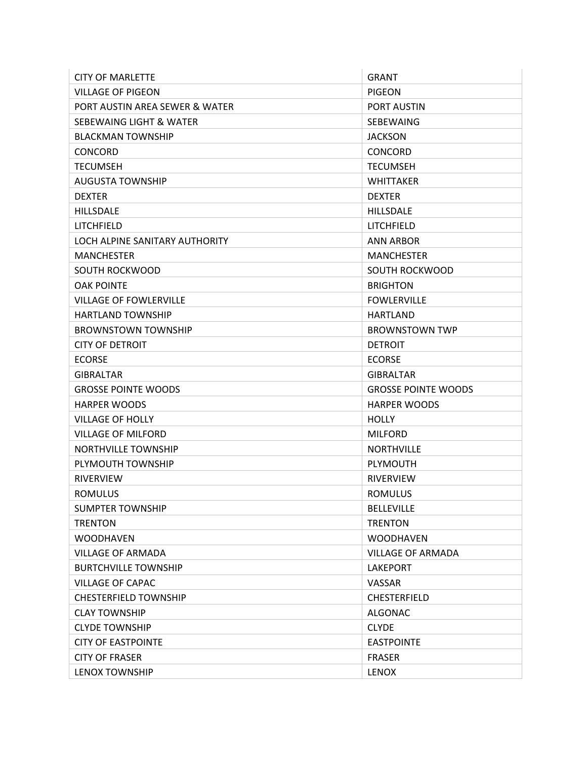| <b>CITY OF MARLETTE</b>        | <b>GRANT</b>               |
|--------------------------------|----------------------------|
| <b>VILLAGE OF PIGEON</b>       | <b>PIGEON</b>              |
| PORT AUSTIN AREA SEWER & WATER | PORT AUSTIN                |
| SEBEWAING LIGHT & WATER        | SEBEWAING                  |
| <b>BLACKMAN TOWNSHIP</b>       | <b>JACKSON</b>             |
| <b>CONCORD</b>                 | <b>CONCORD</b>             |
| <b>TECUMSEH</b>                | <b>TECUMSEH</b>            |
| <b>AUGUSTA TOWNSHIP</b>        | <b>WHITTAKER</b>           |
| <b>DEXTER</b>                  | <b>DEXTER</b>              |
| <b>HILLSDALE</b>               | <b>HILLSDALE</b>           |
| LITCHFIELD                     | LITCHFIELD                 |
| LOCH ALPINE SANITARY AUTHORITY | <b>ANN ARBOR</b>           |
| <b>MANCHESTER</b>              | <b>MANCHESTER</b>          |
| SOUTH ROCKWOOD                 | SOUTH ROCKWOOD             |
| <b>OAK POINTE</b>              | <b>BRIGHTON</b>            |
| <b>VILLAGE OF FOWLERVILLE</b>  | <b>FOWLERVILLE</b>         |
| <b>HARTLAND TOWNSHIP</b>       | <b>HARTLAND</b>            |
| <b>BROWNSTOWN TOWNSHIP</b>     | <b>BROWNSTOWN TWP</b>      |
| CITY OF DETROIT                | <b>DETROIT</b>             |
| <b>ECORSE</b>                  | <b>ECORSE</b>              |
| <b>GIBRALTAR</b>               | <b>GIBRALTAR</b>           |
| <b>GROSSE POINTE WOODS</b>     | <b>GROSSE POINTE WOODS</b> |
| <b>HARPER WOODS</b>            | <b>HARPER WOODS</b>        |
| <b>VILLAGE OF HOLLY</b>        | <b>HOLLY</b>               |
| <b>VILLAGE OF MILFORD</b>      | <b>MILFORD</b>             |
| <b>NORTHVILLE TOWNSHIP</b>     | <b>NORTHVILLE</b>          |
| PLYMOUTH TOWNSHIP              | <b>PLYMOUTH</b>            |
| <b>RIVERVIEW</b>               | <b>RIVERVIEW</b>           |
| <b>ROMULUS</b>                 | <b>ROMULUS</b>             |
| <b>SUMPTER TOWNSHIP</b>        | <b>BELLEVILLE</b>          |
| <b>TRENTON</b>                 | <b>TRENTON</b>             |
| <b>WOODHAVEN</b>               | <b>WOODHAVEN</b>           |
| <b>VILLAGE OF ARMADA</b>       | <b>VILLAGE OF ARMADA</b>   |
| <b>BURTCHVILLE TOWNSHIP</b>    | <b>LAKEPORT</b>            |
| <b>VILLAGE OF CAPAC</b>        | <b>VASSAR</b>              |
| <b>CHESTERFIELD TOWNSHIP</b>   | <b>CHESTERFIELD</b>        |
| <b>CLAY TOWNSHIP</b>           | ALGONAC                    |
| <b>CLYDE TOWNSHIP</b>          | <b>CLYDE</b>               |
| <b>CITY OF EASTPOINTE</b>      | <b>EASTPOINTE</b>          |
| <b>CITY OF FRASER</b>          | <b>FRASER</b>              |
| <b>LENOX TOWNSHIP</b>          | <b>LENOX</b>               |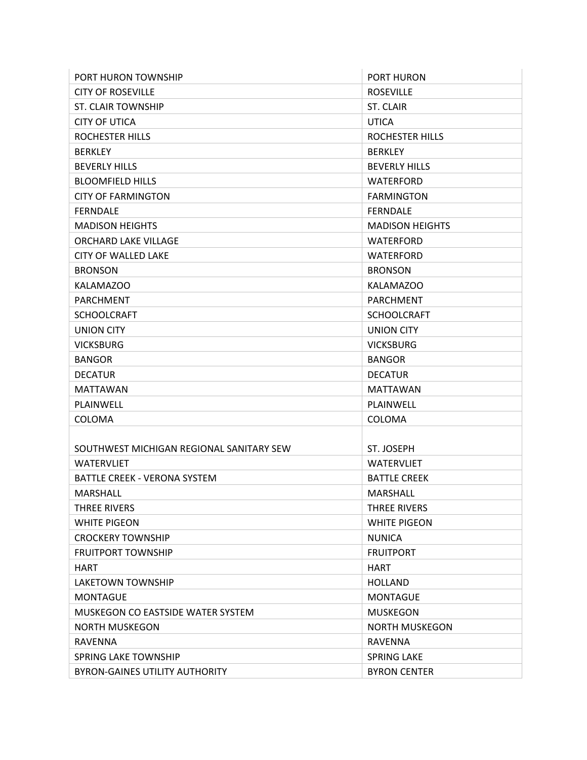| PORT HURON TOWNSHIP                      | <b>PORT HURON</b>      |
|------------------------------------------|------------------------|
| <b>CITY OF ROSEVILLE</b>                 | <b>ROSEVILLE</b>       |
| <b>ST. CLAIR TOWNSHIP</b>                | ST. CLAIR              |
| <b>CITY OF UTICA</b>                     | <b>UTICA</b>           |
| ROCHESTER HILLS                          | ROCHESTER HILLS        |
| <b>BERKLEY</b>                           | <b>BERKLEY</b>         |
| <b>BEVERLY HILLS</b>                     | <b>BEVERLY HILLS</b>   |
| <b>BLOOMFIELD HILLS</b>                  | <b>WATERFORD</b>       |
| <b>CITY OF FARMINGTON</b>                | <b>FARMINGTON</b>      |
| <b>FERNDALE</b>                          | <b>FERNDALE</b>        |
| <b>MADISON HEIGHTS</b>                   | <b>MADISON HEIGHTS</b> |
| ORCHARD LAKE VILLAGE                     | <b>WATERFORD</b>       |
| <b>CITY OF WALLED LAKE</b>               | <b>WATERFORD</b>       |
| <b>BRONSON</b>                           | <b>BRONSON</b>         |
| KALAMAZOO                                | KALAMAZOO              |
| <b>PARCHMENT</b>                         | PARCHMENT              |
| <b>SCHOOLCRAFT</b>                       | <b>SCHOOLCRAFT</b>     |
| <b>UNION CITY</b>                        | <b>UNION CITY</b>      |
| <b>VICKSBURG</b>                         | <b>VICKSBURG</b>       |
| <b>BANGOR</b>                            | <b>BANGOR</b>          |
| <b>DECATUR</b>                           | <b>DECATUR</b>         |
| <b>MATTAWAN</b>                          | <b>MATTAWAN</b>        |
| PLAINWELL                                | PLAINWELL              |
| COLOMA                                   | COLOMA                 |
|                                          |                        |
| SOUTHWEST MICHIGAN REGIONAL SANITARY SEW | ST. JOSEPH             |
| <b>WATERVLIET</b>                        | <b>WATERVLIET</b>      |
| BATTLE CREEK - VERONA SYSTEM             | <b>BATTLE CREEK</b>    |
| <b>MARSHALL</b>                          | <b>MARSHALL</b>        |
| THREE RIVERS                             | <b>THREE RIVERS</b>    |
| <b>WHITE PIGEON</b>                      | <b>WHITE PIGEON</b>    |
| <b>CROCKERY TOWNSHIP</b>                 | <b>NUNICA</b>          |
| <b>FRUITPORT TOWNSHIP</b>                | <b>FRUITPORT</b>       |
| <b>HART</b>                              | <b>HART</b>            |
| LAKETOWN TOWNSHIP                        | <b>HOLLAND</b>         |
| <b>MONTAGUE</b>                          | <b>MONTAGUE</b>        |
| MUSKEGON CO EASTSIDE WATER SYSTEM        | <b>MUSKEGON</b>        |
| <b>NORTH MUSKEGON</b>                    | <b>NORTH MUSKEGON</b>  |
| <b>RAVENNA</b>                           | <b>RAVENNA</b>         |
| SPRING LAKE TOWNSHIP                     | <b>SPRING LAKE</b>     |
| <b>BYRON-GAINES UTILITY AUTHORITY</b>    | <b>BYRON CENTER</b>    |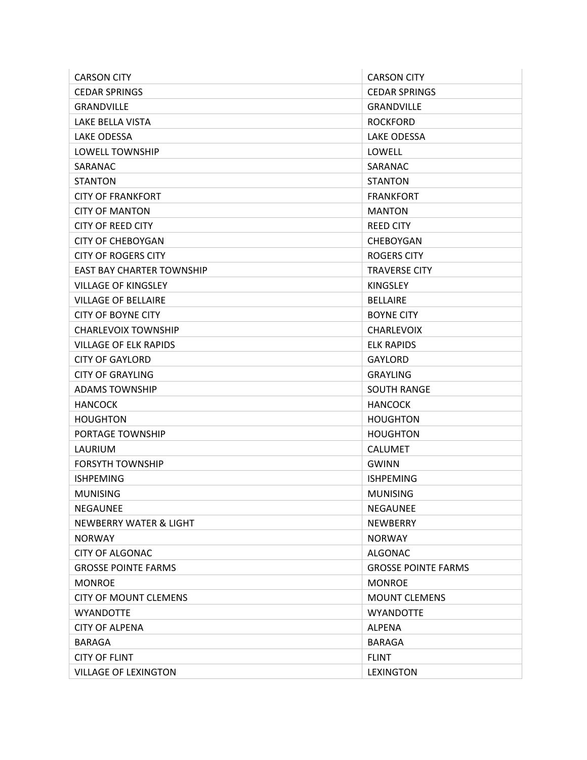| <b>CARSON CITY</b>                | <b>CARSON CITY</b>         |
|-----------------------------------|----------------------------|
| <b>CEDAR SPRINGS</b>              | <b>CEDAR SPRINGS</b>       |
| <b>GRANDVILLE</b>                 | <b>GRANDVILLE</b>          |
| LAKE BELLA VISTA                  | <b>ROCKFORD</b>            |
| <b>LAKE ODESSA</b>                | LAKE ODESSA                |
| LOWELL TOWNSHIP                   | LOWELL                     |
| SARANAC                           | SARANAC                    |
| <b>STANTON</b>                    | <b>STANTON</b>             |
| <b>CITY OF FRANKFORT</b>          | <b>FRANKFORT</b>           |
| <b>CITY OF MANTON</b>             | <b>MANTON</b>              |
| CITY OF REED CITY                 | <b>REED CITY</b>           |
| <b>CITY OF CHEBOYGAN</b>          | CHEBOYGAN                  |
| <b>CITY OF ROGERS CITY</b>        | <b>ROGERS CITY</b>         |
| EAST BAY CHARTER TOWNSHIP         | <b>TRAVERSE CITY</b>       |
| <b>VILLAGE OF KINGSLEY</b>        | <b>KINGSLEY</b>            |
| <b>VILLAGE OF BELLAIRE</b>        | <b>BELLAIRE</b>            |
| <b>CITY OF BOYNE CITY</b>         | <b>BOYNE CITY</b>          |
| <b>CHARLEVOIX TOWNSHIP</b>        | <b>CHARLEVOIX</b>          |
| <b>VILLAGE OF ELK RAPIDS</b>      | <b>ELK RAPIDS</b>          |
| <b>CITY OF GAYLORD</b>            | <b>GAYLORD</b>             |
| <b>CITY OF GRAYLING</b>           | <b>GRAYLING</b>            |
| <b>ADAMS TOWNSHIP</b>             | <b>SOUTH RANGE</b>         |
| <b>HANCOCK</b>                    | <b>HANCOCK</b>             |
| <b>HOUGHTON</b>                   | <b>HOUGHTON</b>            |
| PORTAGE TOWNSHIP                  | <b>HOUGHTON</b>            |
| LAURIUM                           | <b>CALUMET</b>             |
| <b>FORSYTH TOWNSHIP</b>           | <b>GWINN</b>               |
| ISHPEMING                         | <b>ISHPEMING</b>           |
| <b>MUNISING</b>                   | <b>MUNISING</b>            |
| NEGAUNEE                          | <b>NEGAUNEE</b>            |
| <b>NEWBERRY WATER &amp; LIGHT</b> | <b>NEWBERRY</b>            |
| <b>NORWAY</b>                     | <b>NORWAY</b>              |
| <b>CITY OF ALGONAC</b>            | <b>ALGONAC</b>             |
| <b>GROSSE POINTE FARMS</b>        | <b>GROSSE POINTE FARMS</b> |
| <b>MONROE</b>                     | <b>MONROE</b>              |
| <b>CITY OF MOUNT CLEMENS</b>      | <b>MOUNT CLEMENS</b>       |
| <b>WYANDOTTE</b>                  | <b>WYANDOTTE</b>           |
| <b>CITY OF ALPENA</b>             | <b>ALPENA</b>              |
| <b>BARAGA</b>                     | <b>BARAGA</b>              |
| <b>CITY OF FLINT</b>              | <b>FLINT</b>               |
| <b>VILLAGE OF LEXINGTON</b>       | <b>LEXINGTON</b>           |